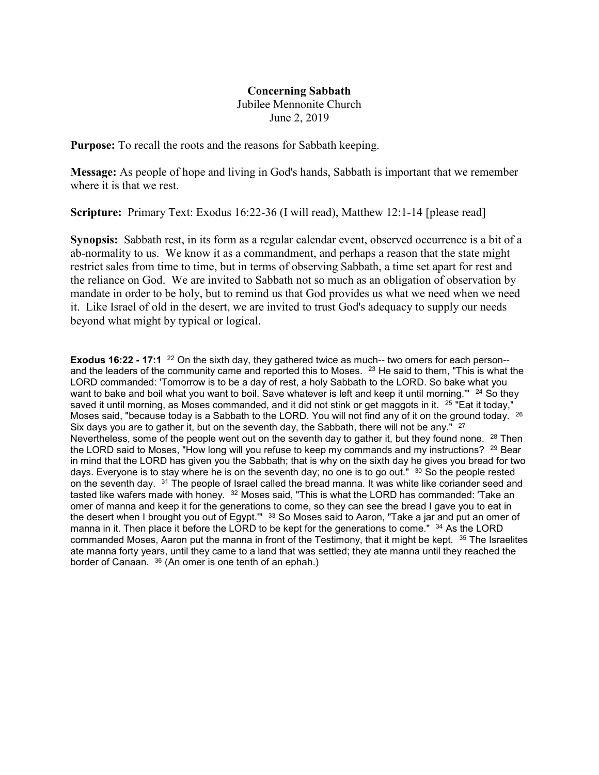## **Concerning Sabbath**

Jubilee Mennonite Church June 2, 2019

**Purpose:** To recall the roots and the reasons for Sabbath keeping.

**Message:** As people of hope and living in God's hands, Sabbath is important that we remember where it is that we rest.

**Scripture:** Primary Text: Exodus 16:22-36 (I will read), Matthew 12:1-14 [please read]

**Synopsis:** Sabbath rest, in its form as a regular calendar event, observed occurrence is a bit of a ab-normality to us. We know it as a commandment, and perhaps a reason that the state might restrict sales from time to time, but in terms of observing Sabbath, a time set apart for rest and the reliance on God. We are invited to Sabbath not so much as an obligation of observation by mandate in order to be holy, but to remind us that God provides us what we need when we need it. Like Israel of old in the desert, we are invited to trust God's adequacy to supply our needs beyond what might by typical or logical.

**Exodus 16:22 - 17:1** <sup>22</sup> On the sixth day, they gathered twice as much-- two omers for each person- and the leaders of the community came and reported this to Moses. <sup>23</sup> He said to them, "This is what the LORD commanded: 'Tomorrow is to be a day of rest, a holy Sabbath to the LORD. So bake what you want to bake and boil what you want to boil. Save whatever is left and keep it until morning." <sup>24</sup> So they saved it until morning, as Moses commanded, and it did not stink or get maggots in it. <sup>25</sup> "Eat it today," Moses said, "because today is a Sabbath to the LORD. You will not find any of it on the ground today. <sup>26</sup> Six days you are to gather it, but on the seventh day, the Sabbath, there will not be any."  $27$ Nevertheless, some of the people went out on the seventh day to gather it, but they found none.  $^{28}$  Then the LORD said to Moses, "How long will you refuse to keep my commands and my instructions?  $29$  Bear in mind that the LORD has given you the Sabbath; that is why on the sixth day he gives you bread for two days. Everyone is to stay where he is on the seventh day; no one is to go out."  $30$  So the people rested on the seventh day. <sup>31</sup> The people of Israel called the bread manna. It was white like coriander seed and tasted like wafers made with honey. <sup>32</sup> Moses said, "This is what the LORD has commanded: 'Take an omer of manna and keep it for the generations to come, so they can see the bread I gave you to eat in the desert when I brought you out of Egypt."" <sup>33</sup> So Moses said to Aaron, "Take a jar and put an omer of manna in it. Then place it before the LORD to be kept for the generations to come." <sup>34</sup> As the LORD commanded Moses. Aaron put the manna in front of the Testimony, that it might be kept. <sup>35</sup> The Israelites ate manna forty years, until they came to a land that was settled; they ate manna until they reached the border of Canaan. <sup>36</sup> (An omer is one tenth of an ephah.)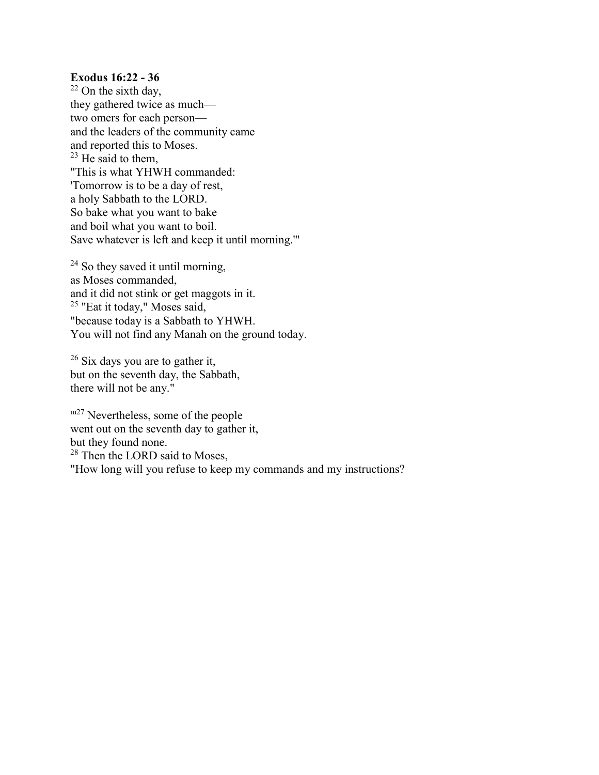## **Exodus 16:22 - 36**

 $22$  On the sixth day, they gathered twice as much two omers for each person and the leaders of the community came and reported this to Moses.  $23$  He said to them, "This is what YHWH commanded: 'Tomorrow is to be a day of rest, a holy Sabbath to the LORD. So bake what you want to bake and boil what you want to boil. Save whatever is left and keep it until morning.'"

<sup>24</sup> So they saved it until morning, as Moses commanded, and it did not stink or get maggots in it. <sup>25</sup> "Eat it today," Moses said, "because today is a Sabbath to YHWH. You will not find any Manah on the ground today.

 $26$  Six days you are to gather it, but on the seventh day, the Sabbath, there will not be any."

m<sup>27</sup> Nevertheless, some of the people went out on the seventh day to gather it, but they found none. <sup>28</sup> Then the LORD said to Moses, "How long will you refuse to keep my commands and my instructions?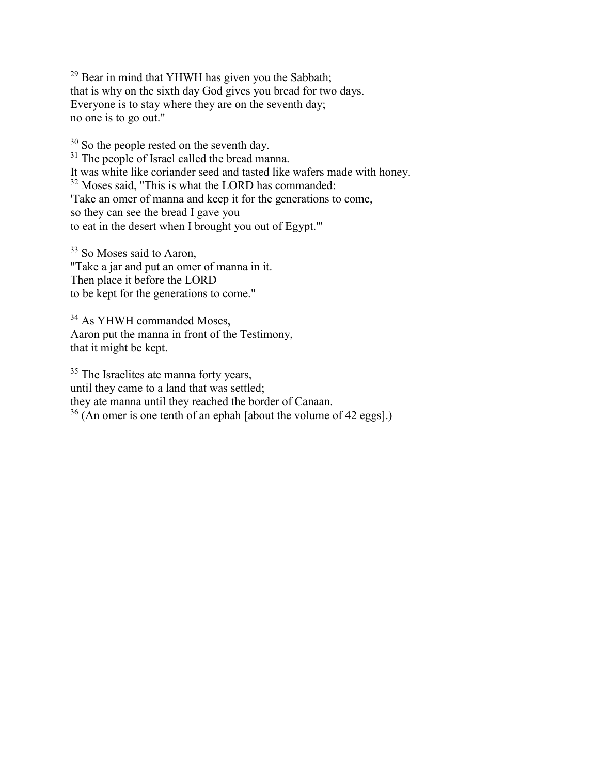<sup>29</sup> Bear in mind that YHWH has given you the Sabbath; that is why on the sixth day God gives you bread for two days. Everyone is to stay where they are on the seventh day; no one is to go out."

<sup>30</sup> So the people rested on the seventh day.  $31$  The people of Israel called the bread manna. It was white like coriander seed and tasted like wafers made with honey. <sup>32</sup> Moses said, "This is what the LORD has commanded: 'Take an omer of manna and keep it for the generations to come, so they can see the bread I gave you to eat in the desert when I brought you out of Egypt.'"

<sup>33</sup> So Moses said to Aaron, "Take a jar and put an omer of manna in it. Then place it before the LORD to be kept for the generations to come."

<sup>34</sup> As YHWH commanded Moses, Aaron put the manna in front of the Testimony, that it might be kept.

<sup>35</sup> The Israelites ate manna forty years, until they came to a land that was settled; they ate manna until they reached the border of Canaan.  $36$  (An omer is one tenth of an ephah [about the volume of 42 eggs].)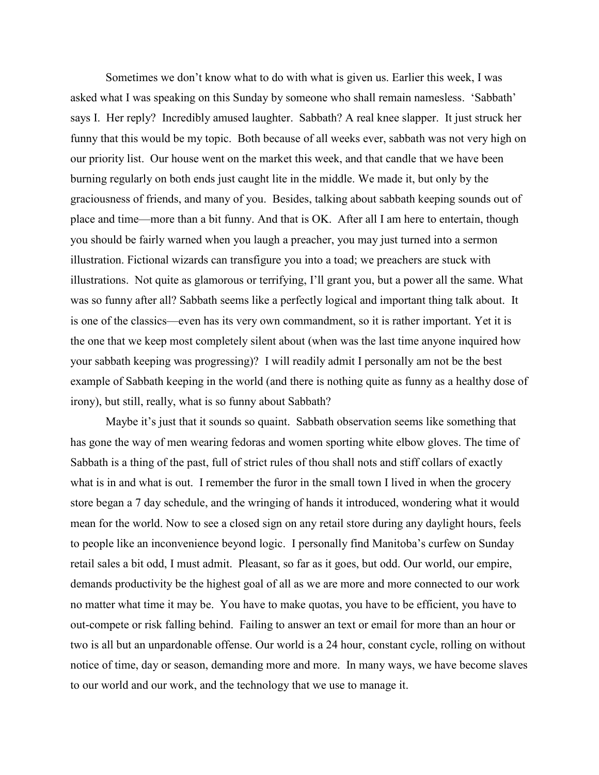Sometimes we don't know what to do with what is given us. Earlier this week, I was asked what I was speaking on this Sunday by someone who shall remain namesless. 'Sabbath' says I. Her reply? Incredibly amused laughter. Sabbath? A real knee slapper. It just struck her funny that this would be my topic. Both because of all weeks ever, sabbath was not very high on our priority list. Our house went on the market this week, and that candle that we have been burning regularly on both ends just caught lite in the middle. We made it, but only by the graciousness of friends, and many of you. Besides, talking about sabbath keeping sounds out of place and time—more than a bit funny. And that is OK. After all I am here to entertain, though you should be fairly warned when you laugh a preacher, you may just turned into a sermon illustration. Fictional wizards can transfigure you into a toad; we preachers are stuck with illustrations. Not quite as glamorous or terrifying, I'll grant you, but a power all the same. What was so funny after all? Sabbath seems like a perfectly logical and important thing talk about. It is one of the classics—even has its very own commandment, so it is rather important. Yet it is the one that we keep most completely silent about (when was the last time anyone inquired how your sabbath keeping was progressing)? I will readily admit I personally am not be the best example of Sabbath keeping in the world (and there is nothing quite as funny as a healthy dose of irony), but still, really, what is so funny about Sabbath?

Maybe it's just that it sounds so quaint. Sabbath observation seems like something that has gone the way of men wearing fedoras and women sporting white elbow gloves. The time of Sabbath is a thing of the past, full of strict rules of thou shall nots and stiff collars of exactly what is in and what is out. I remember the furor in the small town I lived in when the grocery store began a 7 day schedule, and the wringing of hands it introduced, wondering what it would mean for the world. Now to see a closed sign on any retail store during any daylight hours, feels to people like an inconvenience beyond logic. I personally find Manitoba's curfew on Sunday retail sales a bit odd, I must admit. Pleasant, so far as it goes, but odd. Our world, our empire, demands productivity be the highest goal of all as we are more and more connected to our work no matter what time it may be. You have to make quotas, you have to be efficient, you have to out-compete or risk falling behind. Failing to answer an text or email for more than an hour or two is all but an unpardonable offense. Our world is a 24 hour, constant cycle, rolling on without notice of time, day or season, demanding more and more. In many ways, we have become slaves to our world and our work, and the technology that we use to manage it.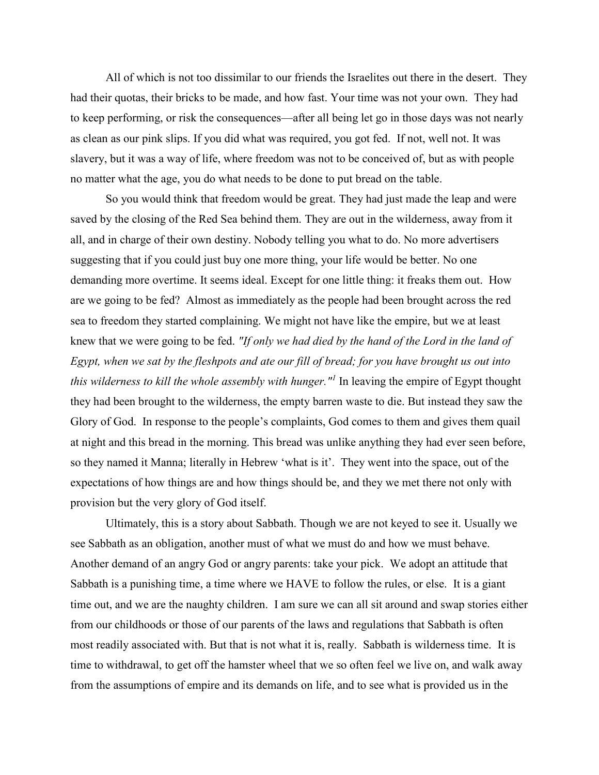All of which is not too dissimilar to our friends the Israelites out there in the desert. They had their quotas, their bricks to be made, and how fast. Your time was not your own. They had to keep performing, or risk the consequences—after all being let go in those days was not nearly as clean as our pink slips. If you did what was required, you got fed. If not, well not. It was slavery, but it was a way of life, where freedom was not to be conceived of, but as with people no matter what the age, you do what needs to be done to put bread on the table.

 So you would think that freedom would be great. They had just made the leap and were saved by the closing of the Red Sea behind them. They are out in the wilderness, away from it all, and in charge of their own destiny. Nobody telling you what to do. No more advertisers suggesting that if you could just buy one more thing, your life would be better. No one demanding more overtime. It seems ideal. Except for one little thing: it freaks them out. How are we going to be fed? Almost as immediately as the people had been brought across the red sea to freedom they started complaining. We might not have like the empire, but we at least knew that we were going to be fed. *"If only we had died by the hand of the Lord in the land of Egypt, when we sat by the fleshpots and ate our fill of bread; for you have brought us out into this wilderness to kill the whole assembly with hunger."<sup>1</sup>* In leaving the empire of Egypt thought they had been brought to the wilderness, the empty barren waste to die. But instead they saw the Glory of God. In response to the people's complaints, God comes to them and gives them quail at night and this bread in the morning. This bread was unlike anything they had ever seen before, so they named it Manna; literally in Hebrew 'what is it'. They went into the space, out of the expectations of how things are and how things should be, and they we met there not only with provision but the very glory of God itself.

 Ultimately, this is a story about Sabbath. Though we are not keyed to see it. Usually we see Sabbath as an obligation, another must of what we must do and how we must behave. Another demand of an angry God or angry parents: take your pick. We adopt an attitude that Sabbath is a punishing time, a time where we HAVE to follow the rules, or else. It is a giant time out, and we are the naughty children. I am sure we can all sit around and swap stories either from our childhoods or those of our parents of the laws and regulations that Sabbath is often most readily associated with. But that is not what it is, really. Sabbath is wilderness time. It is time to withdrawal, to get off the hamster wheel that we so often feel we live on, and walk away from the assumptions of empire and its demands on life, and to see what is provided us in the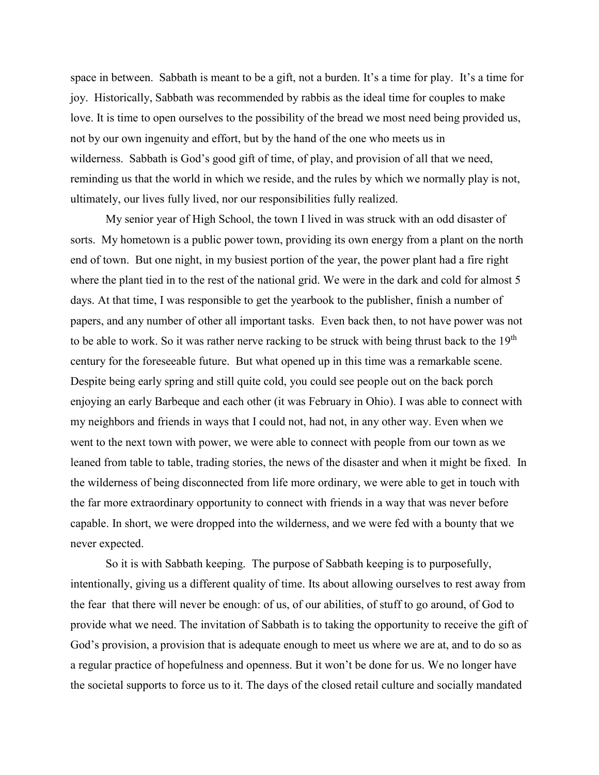space in between. Sabbath is meant to be a gift, not a burden. It's a time for play. It's a time for joy. Historically, Sabbath was recommended by rabbis as the ideal time for couples to make love. It is time to open ourselves to the possibility of the bread we most need being provided us, not by our own ingenuity and effort, but by the hand of the one who meets us in wilderness. Sabbath is God's good gift of time, of play, and provision of all that we need, reminding us that the world in which we reside, and the rules by which we normally play is not, ultimately, our lives fully lived, nor our responsibilities fully realized.

 My senior year of High School, the town I lived in was struck with an odd disaster of sorts. My hometown is a public power town, providing its own energy from a plant on the north end of town. But one night, in my busiest portion of the year, the power plant had a fire right where the plant tied in to the rest of the national grid. We were in the dark and cold for almost 5 days. At that time, I was responsible to get the yearbook to the publisher, finish a number of papers, and any number of other all important tasks. Even back then, to not have power was not to be able to work. So it was rather nerve racking to be struck with being thrust back to the  $19<sup>th</sup>$ century for the foreseeable future. But what opened up in this time was a remarkable scene. Despite being early spring and still quite cold, you could see people out on the back porch enjoying an early Barbeque and each other (it was February in Ohio). I was able to connect with my neighbors and friends in ways that I could not, had not, in any other way. Even when we went to the next town with power, we were able to connect with people from our town as we leaned from table to table, trading stories, the news of the disaster and when it might be fixed. In the wilderness of being disconnected from life more ordinary, we were able to get in touch with the far more extraordinary opportunity to connect with friends in a way that was never before capable. In short, we were dropped into the wilderness, and we were fed with a bounty that we never expected.

 So it is with Sabbath keeping. The purpose of Sabbath keeping is to purposefully, intentionally, giving us a different quality of time. Its about allowing ourselves to rest away from the fear that there will never be enough: of us, of our abilities, of stuff to go around, of God to provide what we need. The invitation of Sabbath is to taking the opportunity to receive the gift of God's provision, a provision that is adequate enough to meet us where we are at, and to do so as a regular practice of hopefulness and openness. But it won't be done for us. We no longer have the societal supports to force us to it. The days of the closed retail culture and socially mandated